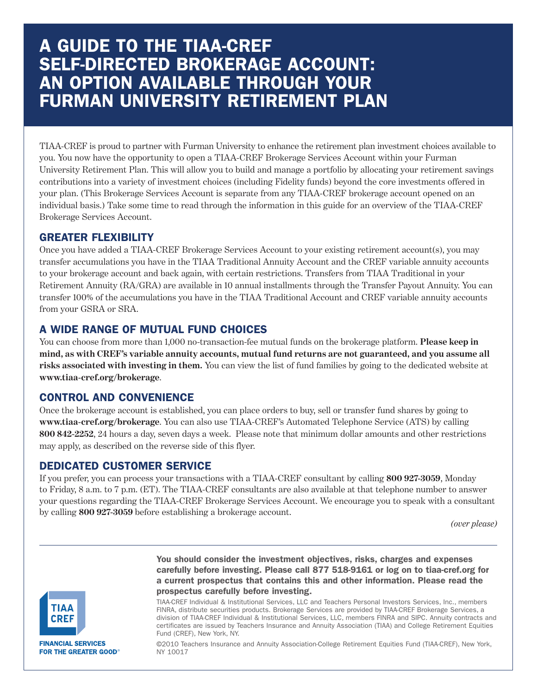# **A GUIDE TO THE TIAA-CREF SELF-DIRECTED BROKERAGE ACCOUNT: AN OPTION AVAILABLE THROUGH YOUR FURMAN UNIVERSITY RETIREMENT PLAN**

TIAA-CREF is proud to partner with Furman University to enhance the retirement plan investment choices available to you. You now have the opportunity to open a TIAA-CREF Brokerage Services Account within your Furman University Retirement Plan. This will allow you to build and manage a portfolio by allocating your retirement savings contributions into a variety of investment choices (including Fidelity funds) beyond the core investments offered in your plan. (This Brokerage Services Account is separate from any TIAA-CREF brokerage account opened on an individual basis.) Take some time to read through the information in this guide for an overview of the TIAA-CREF Brokerage Services Account.

# **GREATER FLEXIBILITY**

Once you have added a TIAA-CREF Brokerage Services Account to your existing retirement account(s), you may transfer accumulations you have in the TIAA Traditional Annuity Account and the CREF variable annuity accounts to your brokerage account and back again, with certain restrictions. Transfers from TIAA Traditional in your Retirement Annuity (RA/GRA) are available in 10 annual installments through the Transfer Payout Annuity. You can transfer 100% of the accumulations you have in the TIAA Traditional Account and CREF variable annuity accounts from your GSRA or SRA.

# **A WIDE RANGE OF MUTUAL FUND CHOICES**

You can choose from more than 1,000 no-transaction-fee mutual funds on the brokerage platform. **Please keep in** mind, as with CREF's variable annuity accounts, mutual fund returns are not guaranteed, and you assume all **risks associated with investing in them.** You can view the list of fund families by going to the dedicated website at **www.tiaa-cref.org/brokerage**.

# **CONTROL AND CONVENIENCE**

Once the brokerage account is established, you can place orders to buy, sell or transfer fund shares by going to **www.tiaa-cref.org/brokerage**. You can also use TIAA-CREF's Automated Telephone Service (ATS) by calling **800 842-2252**, 24 hours a day, seven days a week. Please note that minimum dollar amounts and other restrictions may apply, as described on the reverse side of this flyer.

# **DEDICATED CUSTOMER SERVICE**

If you prefer, you can process your transactions with a TIAA-CREF consultant by calling **800 927-3059**, Monday to Friday, 8 a.m. to 7 p.m. (ET). The TIAA-CREF consultants are also available at that telephone number to answer your questions regarding the TIAA-CREF Brokerage Services Account. We encourage you to speak with a consultant by calling **800 927-3059** before establishing a brokerage account.

*(over please)*



**FINANCIAL SERVICES FOR THE GREATER GOOD®**  **You should consider the investment objectives, risks, charges and expenses carefully before investing. Please call 877 518-9161 or log on to tiaa-cref.org for a current prospectus that contains this and other information. Please read the prospectus carefully before investing.**

TIAA-CREF Individual & Institutional Services, LLC and Teachers Personal Investors Services, Inc., members FINRA, distribute securities products. Brokerage Services are provided by TIAA-CREF Brokerage Services, a division of TIAA-CREF Individual & Institutional Services, LLC, members FINRA and SIPC. Annuity contracts and certificates are issued by Teachers Insurance and Annuity Association (TIAA) and College Retirement Equities Fund (CREF), New York, NY.

©2010 Teachers Insurance and Annuity Association-College Retirement Equities Fund (TIAA-CREF), New York, NY 10017